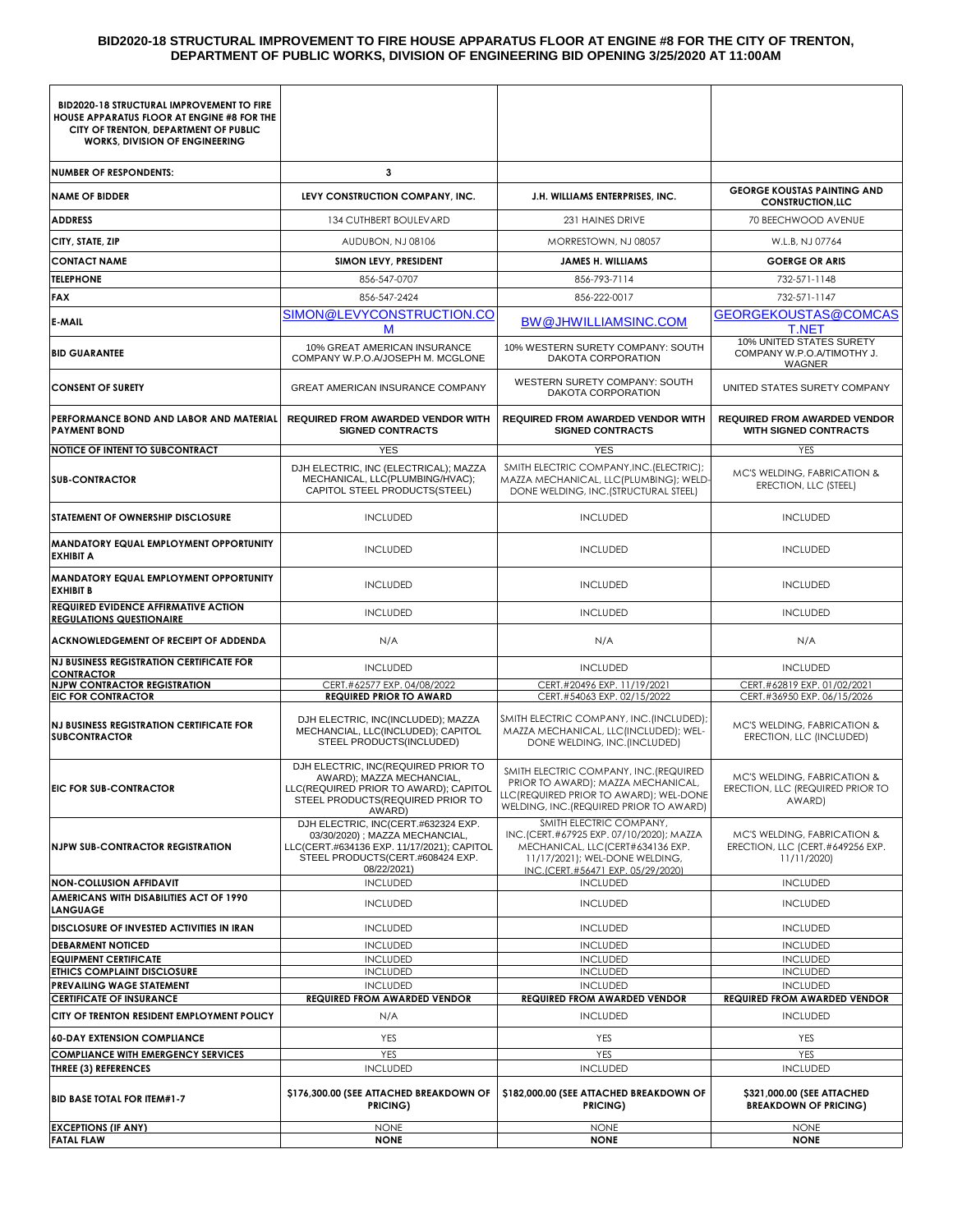#### **BID2020-18 STRUCTURAL IMPROVEMENT TO FIRE HOUSE APPARATUS FLOOR AT ENGINE #8 FOR THE CITY OF TRENTON, DEPARTMENT OF PUBLIC WORKS, DIVISION OF ENGINEERING BID OPENING 3/25/2020 AT 11:00AM**

| <b>BID2020-18 STRUCTURAL IMPROVEMENT TO FIRE</b><br>HOUSE APPARATUS FLOOR AT ENGINE #8 FOR THE<br>CITY OF TRENTON, DEPARTMENT OF PUBLIC<br><b>WORKS, DIVISION OF ENGINEERING</b> |                                                                                                                                                                         |                                                                                                                                                                                |                                                                                      |  |
|----------------------------------------------------------------------------------------------------------------------------------------------------------------------------------|-------------------------------------------------------------------------------------------------------------------------------------------------------------------------|--------------------------------------------------------------------------------------------------------------------------------------------------------------------------------|--------------------------------------------------------------------------------------|--|
| <b>NUMBER OF RESPONDENTS:</b>                                                                                                                                                    | 3                                                                                                                                                                       |                                                                                                                                                                                |                                                                                      |  |
| <b>NAME OF BIDDER</b>                                                                                                                                                            | LEVY CONSTRUCTION COMPANY, INC.                                                                                                                                         | J.H. WILLIAMS ENTERPRISES, INC.                                                                                                                                                | <b>GEORGE KOUSTAS PAINTING AND</b><br><b>CONSTRUCTION, LLC</b>                       |  |
| <b>ADDRESS</b>                                                                                                                                                                   | 134 CUTHBERT BOULEVARD                                                                                                                                                  | 231 HAINES DRIVE                                                                                                                                                               | 70 BEECHWOOD AVENUE                                                                  |  |
| CITY, STATE, ZIP                                                                                                                                                                 | AUDUBON, NJ 08106                                                                                                                                                       | MORRESTOWN, NJ 08057                                                                                                                                                           | W.L.B, NJ 07764                                                                      |  |
| <b>CONTACT NAME</b>                                                                                                                                                              | SIMON LEVY, PRESIDENT                                                                                                                                                   | <b>JAMES H. WILLIAMS</b>                                                                                                                                                       | <b>GOERGE OR ARIS</b>                                                                |  |
| <b>TELEPHONE</b>                                                                                                                                                                 | 856-547-0707                                                                                                                                                            | 856-793-7114                                                                                                                                                                   | 732-571-1148                                                                         |  |
| <b>FAX</b>                                                                                                                                                                       | 856-547-2424                                                                                                                                                            | 856-222-0017                                                                                                                                                                   | 732-571-1147                                                                         |  |
| <b>E-MAIL</b>                                                                                                                                                                    | SIMON@LEVYCONSTRUCTION.CO<br>M                                                                                                                                          | <b>BW@JHWILLIAMSINC.COM</b>                                                                                                                                                    | GEORGEKOUSTAS@COMCAS<br><b>T.NET</b>                                                 |  |
| <b>BID GUARANTEE</b>                                                                                                                                                             | 10% GREAT AMERICAN INSURANCE<br>COMPANY W.P.O.A/JOSEPH M. MCGLONE                                                                                                       | 10% WESTERN SURETY COMPANY: SOUTH<br>DAKOTA CORPORATION                                                                                                                        | 10% UNITED STATES SURETY<br>COMPANY W.P.O.A/TIMOTHY J.<br>WAGNER                     |  |
| <b>CONSENT OF SURETY</b>                                                                                                                                                         | GREAT AMERICAN INSURANCE COMPANY                                                                                                                                        | WESTERN SURETY COMPANY: SOUTH<br>DAKOTA CORPORATION                                                                                                                            | UNITED STATES SURETY COMPANY                                                         |  |
| PERFORMANCE BOND AND LABOR AND MATERIAL<br><b>PAYMENT BOND</b>                                                                                                                   | <b>REQUIRED FROM AWARDED VENDOR WITH</b><br><b>SIGNED CONTRACTS</b>                                                                                                     | <b>REQUIRED FROM AWARDED VENDOR WITH</b><br><b>SIGNED CONTRACTS</b>                                                                                                            | <b>REQUIRED FROM AWARDED VENDOR</b><br><b>WITH SIGNED CONTRACTS</b>                  |  |
| NOTICE OF INTENT TO SUBCONTRACT                                                                                                                                                  | <b>YES</b>                                                                                                                                                              | <b>YES</b>                                                                                                                                                                     | YES                                                                                  |  |
| <b>SUB-CONTRACTOR</b>                                                                                                                                                            | DJH ELECTRIC, INC (ELECTRICAL); MAZZA<br>MECHANICAL. LLC(PLUMBING/HVAC):<br>CAPITOL STEEL PRODUCTS(STEEL)                                                               | SMITH ELECTRIC COMPANY, INC. (ELECTRIC);<br>MAZZA MECHANICAL, LLC(PLUMBING); WELD-<br>DONE WELDING, INC. (STRUCTURAL STEEL)                                                    | MC'S WELDING, FABRICATION &<br>ERECTION, LLC (STEEL)                                 |  |
| STATEMENT OF OWNERSHIP DISCLOSURE                                                                                                                                                | <b>INCLUDED</b>                                                                                                                                                         | <b>INCLUDED</b>                                                                                                                                                                | <b>INCLUDED</b>                                                                      |  |
| MANDATORY EQUAL EMPLOYMENT OPPORTUNITY<br><b>EXHIBIT A</b>                                                                                                                       | <b>INCLUDED</b>                                                                                                                                                         | <b>INCLUDED</b>                                                                                                                                                                | <b>INCLUDED</b>                                                                      |  |
| MANDATORY EQUAL EMPLOYMENT OPPORTUNITY<br><b>EXHIBIT B</b>                                                                                                                       | <b>INCLUDED</b>                                                                                                                                                         | <b>INCLUDED</b>                                                                                                                                                                | <b>INCLUDED</b>                                                                      |  |
| <b>REQUIRED EVIDENCE AFFIRMATIVE ACTION</b><br><b>REGULATIONS QUESTIONAIRE</b>                                                                                                   | <b>INCLUDED</b>                                                                                                                                                         | <b>INCLUDED</b>                                                                                                                                                                | <b>INCLUDED</b>                                                                      |  |
| ACKNOWLEDGEMENT OF RECEIPT OF ADDENDA                                                                                                                                            | N/A                                                                                                                                                                     | N/A                                                                                                                                                                            | N/A                                                                                  |  |
| <b>NJ BUSINESS REGISTRATION CERTIFICATE FOR</b><br><b>CONTRACTOR</b>                                                                                                             | <b>INCLUDED</b>                                                                                                                                                         | <b>INCLUDED</b>                                                                                                                                                                | <b>INCLUDED</b>                                                                      |  |
| <b>NJPW CONTRACTOR REGISTRATION</b><br><b>EIC FOR CONTRACTOR</b>                                                                                                                 | CERT.#62577 EXP. 04/08/2022<br><b>REQUIRED PRIOR TO AWARD</b>                                                                                                           | CERT.#20496 EXP. 11/19/2021<br>CERT.#54063 EXP. 02/15/2022                                                                                                                     | CERT.#62819 EXP. 01/02/2021<br>CERT.#36950 EXP. 06/15/2026                           |  |
| <b>NJ BUSINESS REGISTRATION CERTIFICATE FOR</b><br><b>SUBCONTRACTOR</b>                                                                                                          | DJH ELECTRIC, INC(INCLUDED); MAZZA<br>MECHANCIAL, LLC(INCLUDED); CAPITOL<br>STEEL PRODUCTS(INCLUDED)                                                                    | SMITH ELECTRIC COMPANY, INC.(INCLUDED);<br>MAZZA MECHANICAL, LLC(INCLUDED); WEL-<br>DONE WELDING, INC. (INCLUDED)                                                              | MC'S WELDING, FABRICATION &<br>ERECTION, LLC (INCLUDED)                              |  |
| <b>EIC FOR SUB-CONTRACTOR</b>                                                                                                                                                    | DJH ELECTRIC, INC(REQUIRED PRIOR TO<br>AWARD): MAZZA MECHANCIAL<br>LLC(REQUIRED PRIOR TO AWARD); CAPITOL<br>STEEL PRODUCTS(REQUIRED PRIOR TO<br>AWARD)                  | SMITH ELECTRIC COMPANY, INC. (REQUIRED<br>PRIOR TO AWARD); MAZZA MECHANICAL,<br>LLC(REQUIRED PRIOR TO AWARD); WEL-DONE<br>WELDING, INC. (REQUIRED PRIOR TO AWARD)              | <b>MC'S WELDING, FABRICATION &amp;</b><br>ERECTION, LLC (REQUIRED PRIOR TO<br>AWARD) |  |
| <b>NJPW SUB-CONTRACTOR REGISTRATION</b>                                                                                                                                          | DJH ELECTRIC, INC(CERT.#632324 EXP.<br>03/30/2020) ; MAZZA MECHANCIAL,<br>LLC(CERT.#634136 EXP. 11/17/2021); CAPITOL<br>STEEL PRODUCTS(CERT.#608424 EXP.<br>08/22/2021) | SMITH ELECTRIC COMPANY,<br>INC.(CERT.#67925 EXP. 07/10/2020); MAZZA<br>MECHANICAL, LLC(CERT#634136 EXP.<br>11/17/2021); WEL-DONE WELDING,<br>INC.ICERT.#56471 EXP. 05/29/2020) | MC'S WELDING, FABRICATION &<br>ERECTION, LLC (CERT.#649256 EXP.<br>11/11/2020)       |  |
| <b>NON-COLLUSION AFFIDAVIT</b><br>AMERICANS WITH DISABILITIES ACT OF 1990                                                                                                        | <b>INCLUDED</b>                                                                                                                                                         | <b>INCLUDED</b>                                                                                                                                                                | <b>INCLUDED</b>                                                                      |  |
| <b>LANGUAGE</b>                                                                                                                                                                  | <b>INCLUDED</b>                                                                                                                                                         | <b>INCLUDED</b>                                                                                                                                                                | <b>INCLUDED</b>                                                                      |  |
| DISCLOSURE OF INVESTED ACTIVITIES IN IRAN                                                                                                                                        | <b>INCLUDED</b>                                                                                                                                                         | <b>INCLUDED</b>                                                                                                                                                                | <b>INCLUDED</b>                                                                      |  |
| <b>DEBARMENT NOTICED</b><br><b>EQUIPMENT CERTIFICATE</b>                                                                                                                         | <b>INCLUDED</b><br><b>INCLUDED</b>                                                                                                                                      | <b>INCLUDED</b><br><b>INCLUDED</b>                                                                                                                                             | <b>INCLUDED</b><br><b>INCLUDED</b>                                                   |  |
| ETHICS COMPLAINT DISCLOSURE                                                                                                                                                      | <b>INCLUDED</b>                                                                                                                                                         | <b>INCLUDED</b>                                                                                                                                                                | <b>INCLUDED</b>                                                                      |  |
| PREVAILING WAGE STATEMENT                                                                                                                                                        | <b>INCLUDED</b>                                                                                                                                                         | <b>INCLUDED</b>                                                                                                                                                                | <b>INCLUDED</b>                                                                      |  |
| <b>CERTIFICATE OF INSURANCE</b><br>CITY OF TRENTON RESIDENT EMPLOYMENT POLICY                                                                                                    | <b>REQUIRED FROM AWARDED VENDOR</b><br>N/A                                                                                                                              | <b>REQUIRED FROM AWARDED VENDOR</b><br><b>INCLUDED</b>                                                                                                                         | <b>REQUIRED FROM AWARDED VENDOR</b><br><b>INCLUDED</b>                               |  |
| <b>60-DAY EXTENSION COMPLIANCE</b>                                                                                                                                               | <b>YES</b>                                                                                                                                                              | YES                                                                                                                                                                            | YES                                                                                  |  |
| <b>COMPLIANCE WITH EMERGENCY SERVICES</b>                                                                                                                                        | YES                                                                                                                                                                     | <b>YES</b>                                                                                                                                                                     | YES                                                                                  |  |
| <b>THREE (3) REFERENCES</b>                                                                                                                                                      | <b>INCLUDED</b>                                                                                                                                                         | <b>INCLUDED</b>                                                                                                                                                                | <b>INCLUDED</b>                                                                      |  |
| <b>BID BASE TOTAL FOR ITEM#1-7</b>                                                                                                                                               | \$176,300.00 (SEE ATTACHED BREAKDOWN OF<br>PRICING)                                                                                                                     | \$182,000.00 (SEE ATTACHED BREAKDOWN OF<br>PRICING)                                                                                                                            | \$321,000.00 (SEE ATTACHED<br><b>BREAKDOWN OF PRICING)</b>                           |  |
| <b>EXCEPTIONS (IF ANY)</b>                                                                                                                                                       | <b>NONE</b>                                                                                                                                                             | <b>NONE</b>                                                                                                                                                                    | <b>NONE</b>                                                                          |  |
| <b>FATAL FLAW</b>                                                                                                                                                                | <b>NONE</b>                                                                                                                                                             | <b>NONE</b>                                                                                                                                                                    | <b>NONE</b>                                                                          |  |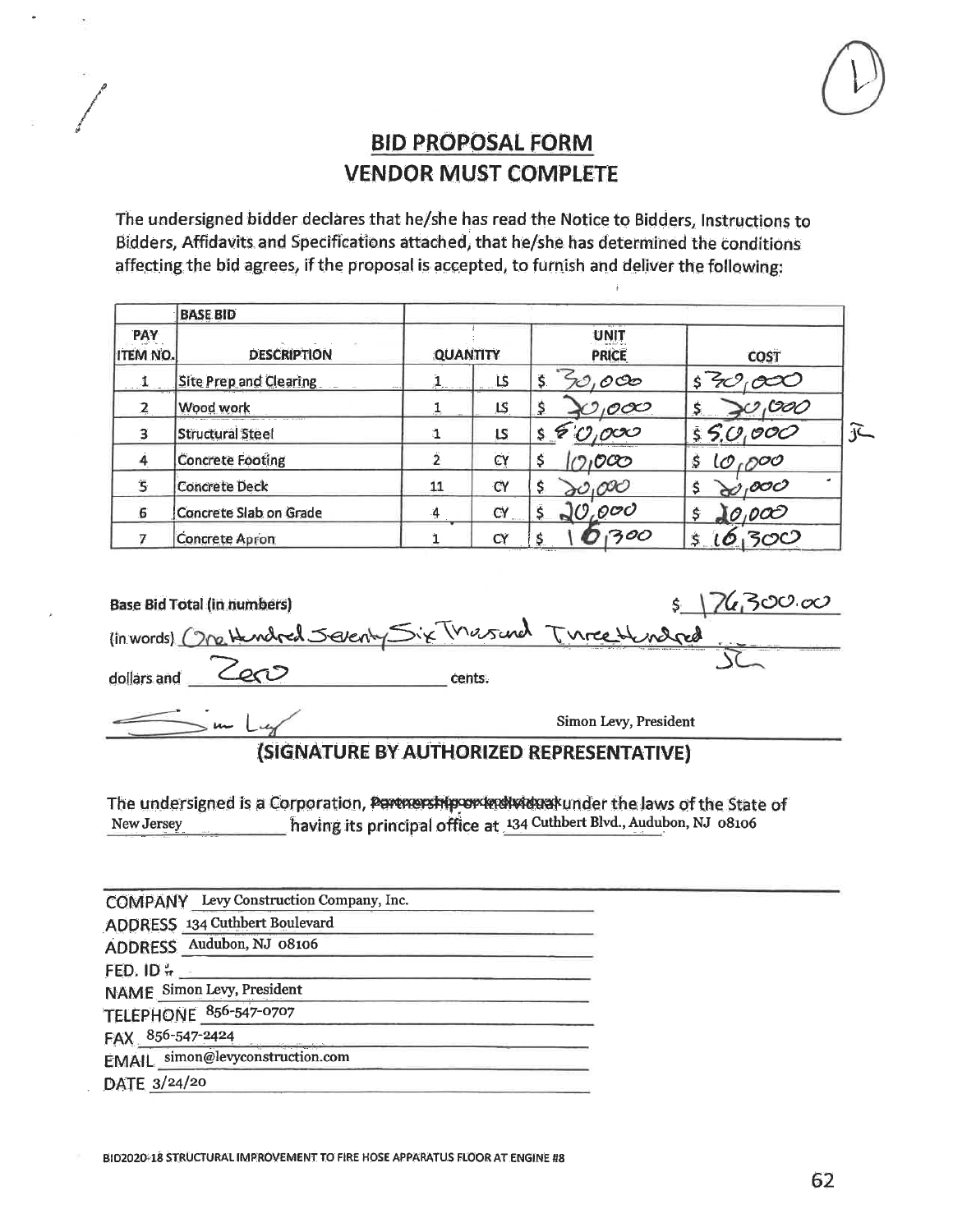

The undersigned bidder declares that he/she has read the Notice to Bidders, Instructions to Bidders, Affidavits and Specifications attached, that he/she has determined the conditions affecting the bid agrees, if the proposal is accepted, to furnish and deliver the following:

|                               | <b>BASE BID</b>               |                         |               |                                 |              |                           |
|-------------------------------|-------------------------------|-------------------------|---------------|---------------------------------|--------------|---------------------------|
| <b>PAY</b><br><b>ITEM NO.</b> | <b>DESCRIPTION</b>            | <b>QUANTITY</b>         |               | UNIT<br><b>PRICE</b>            | <b>COST</b>  |                           |
|                               | <b>Site Prep and Clearing</b> | Participants of the Sea | LS            | \$.<br>oco                      |              |                           |
| $\mathbf{2}$                  | Wood work                     |                         | LS.           | \$<br>1000                      | 000          |                           |
| 3                             | <b>Structural Steel</b>       |                         | $\mathsf{LS}$ | ocx<br>Ġ<br>\$                  | 55.0000      | $\widetilde{\mathcal{F}}$ |
|                               | <b>Concrete Footing</b>       |                         | CY            | \$<br>$\mathcal{O} \mathcal{O}$ | 10,000<br>\$ |                           |
| $\mathbf S$                   | <b>Concrete Deck</b>          | 11                      | CY            | Ş.<br>,000                      | ,ooc         |                           |
| 6                             | Concrete Slab on Grade        | 4                       | CÝ            | 0.000                           | 0,0Œ<br>\$   |                           |
|                               | <b>Concrete Apron</b>         |                         | CY            | 300                             | \$.          |                           |

| <b>Base Bid Total (in numbers)</b>                        |        | 7630000               |
|-----------------------------------------------------------|--------|-----------------------|
| (in words) One Hendred Severity Six Thersand Ture Hendred |        |                       |
| dollars and                                               | cents. |                       |
| سماء ت                                                    |        | Simon Levy, President |
|                                                           |        |                       |

#### (SIGNATURE BY AUTHORIZED REPRESENTATIVE)

The undersigned is a Corporation, Permership or individual under the laws of the State of having its principal office at 134 Cuthbert Blvd., Audubon, NJ 08106 New Jersey

|                       | COMPANY Levy Construction Company, Inc.              |
|-----------------------|------------------------------------------------------|
|                       | ADDRESS 134 Cuthbert Boulevard                       |
|                       | ADDRESS Audubon, NJ 08106                            |
| FED. ID $\frac{1}{T}$ |                                                      |
|                       | <b>NAME</b> Simon Levy, President                    |
|                       | TELEPHONE 856-547-0707                               |
|                       |                                                      |
|                       | FAX 856-547-2424<br>EMAIL simon@levyconstruction.com |
| DATE 3/24/20          |                                                      |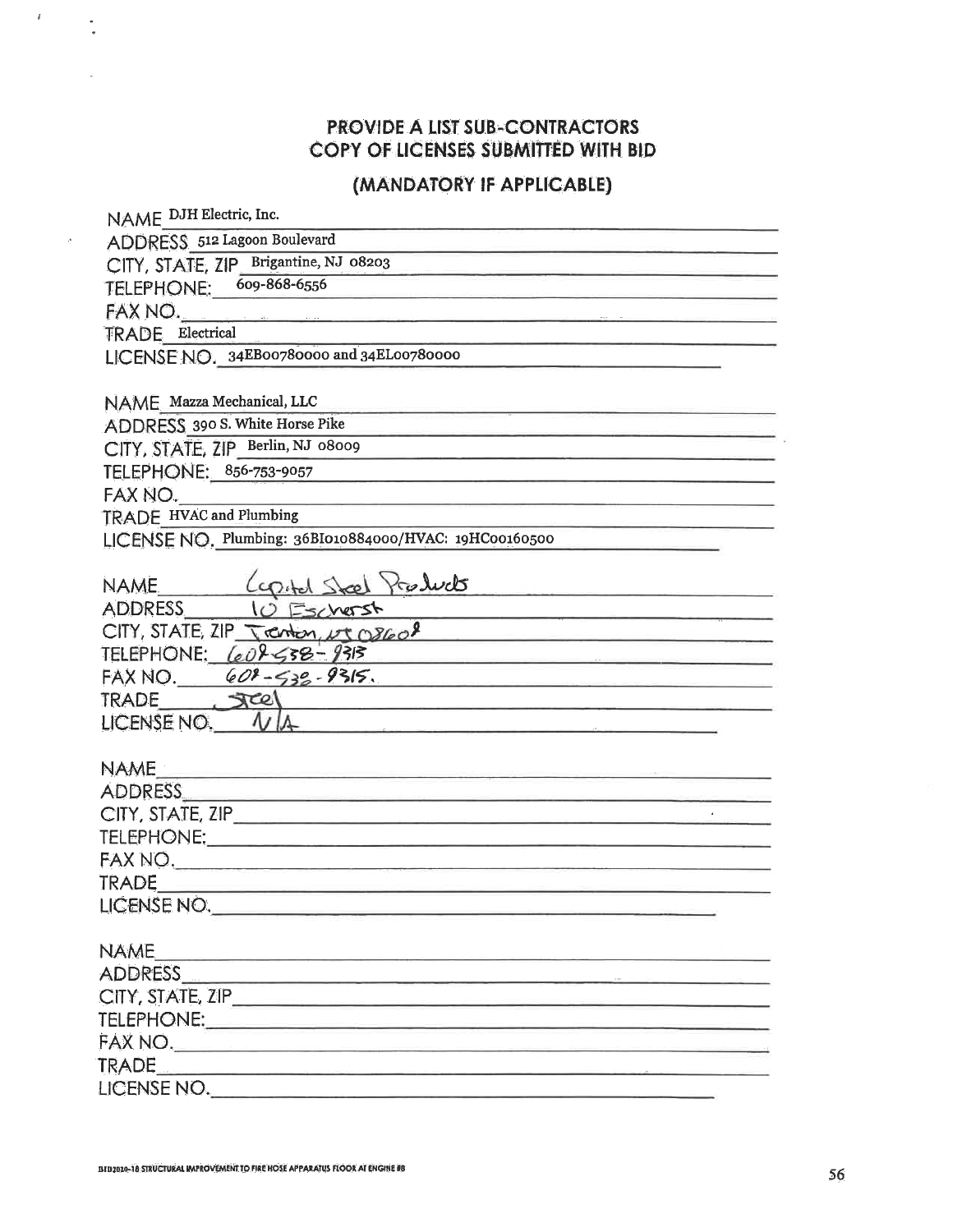# PROVIDE A LIST SUB-CONTRACTORS COPY OF LICENSES SUBMITTED WITH BID

# (MANDATORY IF APPLICABLE)

| NAME DJH Electric, Inc.                                                                                                                                                                                                                             |
|-----------------------------------------------------------------------------------------------------------------------------------------------------------------------------------------------------------------------------------------------------|
| ADDRESS 512 Lagoon Boulevard                                                                                                                                                                                                                        |
| CITY, STATE, ZIP Brigantine, NJ 08203                                                                                                                                                                                                               |
| TELEPHONE: 609-868-6556                                                                                                                                                                                                                             |
|                                                                                                                                                                                                                                                     |
| <b>TRADE</b> Electrical                                                                                                                                                                                                                             |
| LICENSE NO. 34EB00780000 and 34EL00780000                                                                                                                                                                                                           |
|                                                                                                                                                                                                                                                     |
| NAME Mazza Mechanical, LLC                                                                                                                                                                                                                          |
| ADDRESS 390 S. White Horse Pike                                                                                                                                                                                                                     |
| CITY, STATE, ZIP_Berlin, NJ 08009                                                                                                                                                                                                                   |
| TELEPHONE: 856-753-9057<br><u> 1989 - Johann John Stein, marwolaeth a bhann an t-Amhair ann an t-Amhair an t-Amhair an t-Amhair an t-Amhair a</u>                                                                                                   |
| FAX NO.                                                                                                                                                                                                                                             |
| TRADE HVAC and Plumbing                                                                                                                                                                                                                             |
| LICENSE NO. Plumbing: 36BI010884000/HVAC: 19HC00160500                                                                                                                                                                                              |
|                                                                                                                                                                                                                                                     |
|                                                                                                                                                                                                                                                     |
| NAME (control Steel Products<br>ADDRESS 10 Escherst                                                                                                                                                                                                 |
| $CITY$ , STATE, ZIP Tenton, $\nu$ $\sigma$ $\alpha$                                                                                                                                                                                                 |
| TELEPHONE: 60858-9313<br><u> 1989 - Johann John Stein, markin fan de Fryske kampen oantal fan de Fryske kampen oantal fan de Fryske kampen</u>                                                                                                      |
| FAX NO. 608-538-9315.                                                                                                                                                                                                                               |
| TRADE JEEL                                                                                                                                                                                                                                          |
| LICENSE NO. VIA                                                                                                                                                                                                                                     |
|                                                                                                                                                                                                                                                     |
|                                                                                                                                                                                                                                                     |
| ADDRESS AND AND AN ANNUAL AND ANNUAL AND ANNUAL ANNUAL ANNUAL ANNUAL ANNUAL ANNUAL ANNUAL ANNUAL ANNUAL ANNUAL                                                                                                                                      |
| CITY, STATE, ZIP                                                                                                                                                                                                                                    |
|                                                                                                                                                                                                                                                     |
|                                                                                                                                                                                                                                                     |
|                                                                                                                                                                                                                                                     |
| LICENSE NO.                                                                                                                                                                                                                                         |
|                                                                                                                                                                                                                                                     |
| <b>NAME</b><br><u> Transformation de la companyation de la companyation de la companyation de la companyation de la companyation de la companyation de la companyation de la companyation de la companyation de la companyation de la companyat</u> |
| ADDRESS ADDRESS                                                                                                                                                                                                                                     |
|                                                                                                                                                                                                                                                     |
|                                                                                                                                                                                                                                                     |
|                                                                                                                                                                                                                                                     |
|                                                                                                                                                                                                                                                     |
| LICENSE NO.                                                                                                                                                                                                                                         |

 $\bar{t}$ 

 $\frac{1}{\sqrt{2}}$ 

 $\sigma^2_{\rm c}$ 

 $\tilde{\nu}$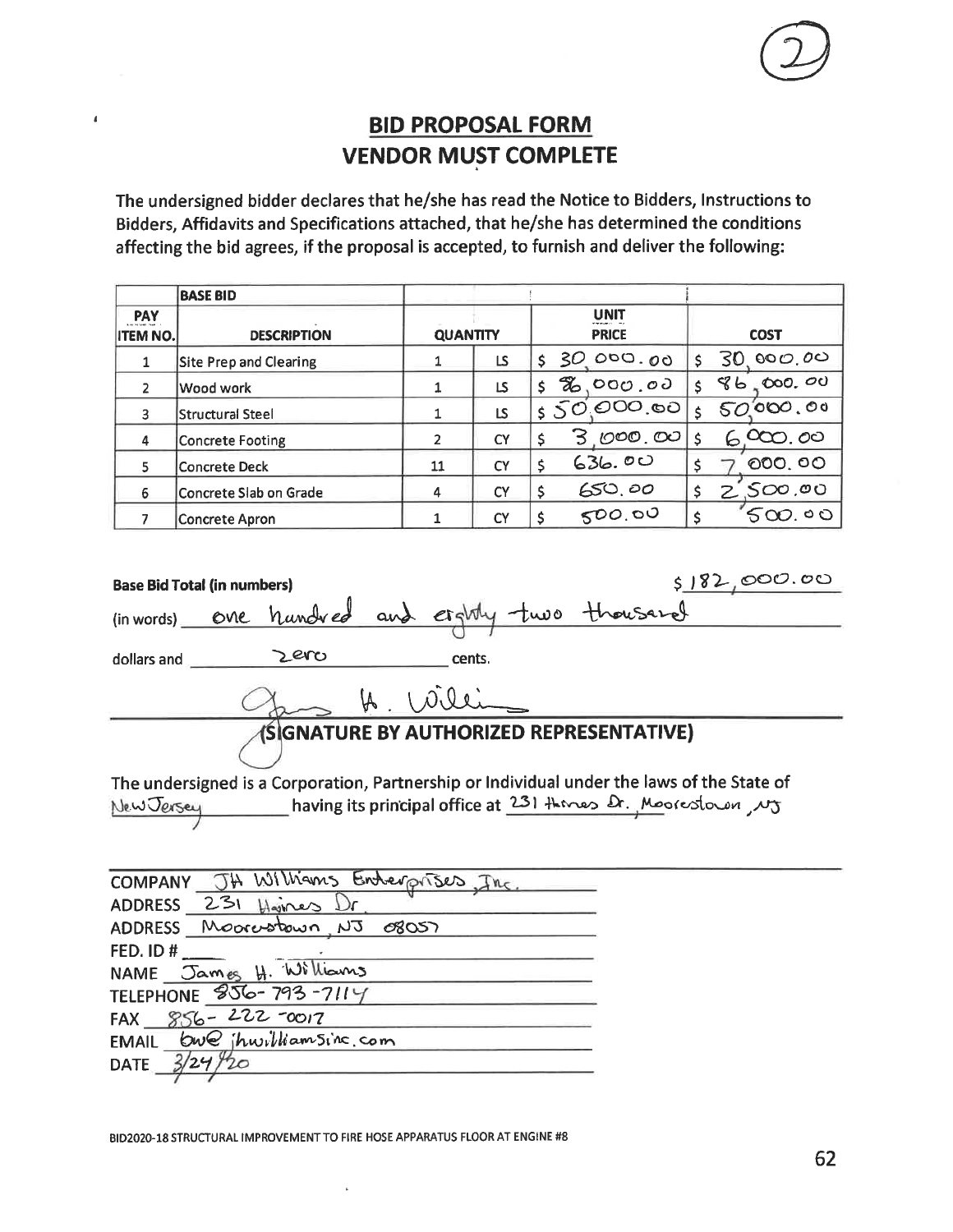# **BID PROPOSAL FORM VENDOR MUST COMPLETE**

 $\pmb{i}$ 

The undersigned bidder declares that he/she has read the Notice to Bidders, Instructions to Bidders, Affidavits and Specifications attached, that he/she has determined the conditions affecting the bid agrees, if the proposal is accepted, to furnish and deliver the following:

|                               | <b>BASE BID</b>               |                 |           |      |                             |    |                  |
|-------------------------------|-------------------------------|-----------------|-----------|------|-----------------------------|----|------------------|
| <b>PAY</b><br><b>ITEM NO.</b> | <b>DESCRIPTION</b>            | <b>QUANTITY</b> |           |      | <b>UNIT</b><br><b>PRICE</b> |    | <b>COST</b>      |
|                               | <b>Site Prep and Clearing</b> |                 | LS        | \$30 | 000.00                      | Ś. | 000.00<br>30     |
| 2                             | Wood work                     |                 | LS        | Z.   | 000.00                      |    | 586,000,00       |
| 3                             | Structural Steel              |                 | LS        |      | 50,000,00                   |    | 50000.00         |
| 4                             | Concrete Footing              | 2               | <b>CY</b> |      | <u>3 .000 .00</u>           |    | .000. <i>0</i> 0 |
| 5                             | <b>Concrete Deck</b>          | 11              | CY        |      | 636.00                      |    | 000.00           |
| 6                             | Concrete Slab on Grade        | 4               | <b>CY</b> | \$   | 650,00                      | \$ | 2,500,00         |
|                               | <b>Concrete Apron</b>         |                 | <b>CY</b> |      | 500.00                      |    | $500.$ 00        |

| 5182,000.00<br><b>Base Bid Total (in numbers)</b>                                                                                                                   |
|---------------------------------------------------------------------------------------------------------------------------------------------------------------------|
| (in words) one hundred and eightly two thousand                                                                                                                     |
| Zero<br>dollars and<br>cents.                                                                                                                                       |
| H. Willi                                                                                                                                                            |
| (SIGNATURE BY AUTHORIZED REPRESENTATIVE)                                                                                                                            |
|                                                                                                                                                                     |
| The undersigned is a Corporation, Partnership or Individual under the laws of the State of<br>New Jersey Maving its principal office at 231 theres & Moorestown, NJ |
| COMPANY JH Williams Enterprises, Inc.                                                                                                                               |
| ADDRESS 231 Haines Dr.                                                                                                                                              |
| ADDRESS Moorestown NJ 08057                                                                                                                                         |
| FED. ID#                                                                                                                                                            |
| NAME James H. Williams                                                                                                                                              |

BID2020-18 STRUCTURAL IMPROVEMENT TO FIRE HOSE APPARATUS FLOOR AT ENGINE #8

TELEPHONE 856-793-7114 FAX  $856 - 222 = 0017$ 

20

 $3/24$ 

 $DATE_$ 

EMAIL bwe ihwilliamsing com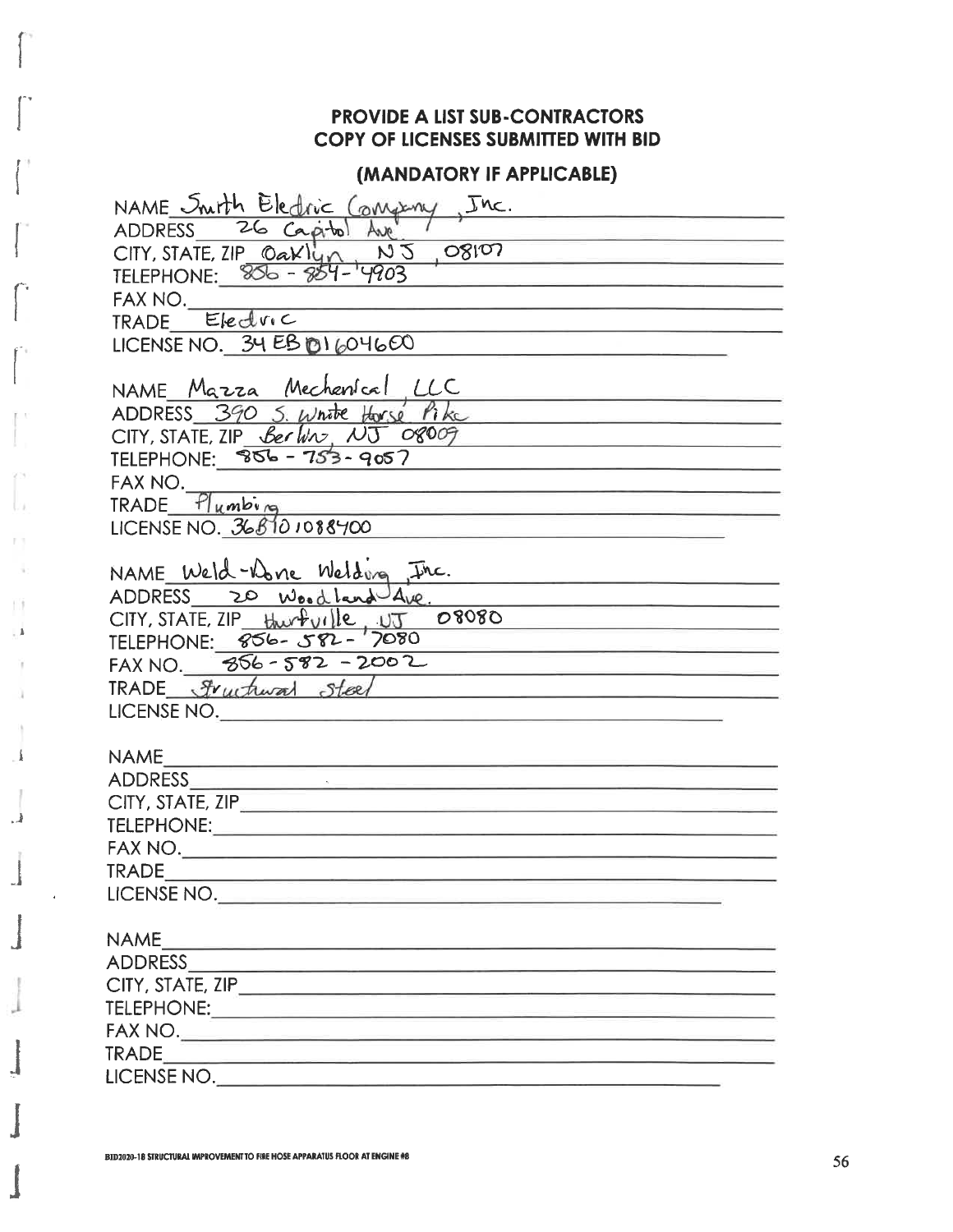# **PROVIDE A LIST SUB-CONTRACTORS COPY OF LICENSES SUBMITTED WITH BID**

### (MANDATORY IF APPLICABLE)

| NAME Snith Eledric Congeny, Inc.                                            |
|-----------------------------------------------------------------------------|
| ADDRESS 26 Capitol Ave                                                      |
| $CITY, STATE, ZIP_0aKlyn, N5, OS107$                                        |
| TELEPHONE: 806 - 854-                                                       |
| FAX NO.                                                                     |
| TRADE Electric                                                              |
| LICENSE NO. $34EBB1604600$                                                  |
|                                                                             |
| NAME Mazza Mechanical LLC                                                   |
| ADDRESS 390 S. White Horse Pike                                             |
| CITY, STATE, ZIP <u>Berlin, <math>NT</math> 08009</u>                       |
| TELEPHONE: 856 - 753 - 9057                                                 |
| FAX NO.                                                                     |
| $TRADE - 11umbing$                                                          |
| LICENSE NO. $368101088400$                                                  |
| NAME Weld-Done Welding Inc.                                                 |
|                                                                             |
| ADDRESS 20 Wood land Ave.                                                   |
| CITY, STATE, ZIP Hurbuille, UT 08080                                        |
| FAX NO. $856 - 582 - 2002$                                                  |
| TRADE Fructural Stoel                                                       |
| LICENSE NO.                                                                 |
|                                                                             |
| NAME                                                                        |
|                                                                             |
| CITY, STATE, ZIP                                                            |
| TELEPHONE: And the anti-                                                    |
| FAX NO.                                                                     |
| <b>TRADE</b>                                                                |
| LICENSE NO.                                                                 |
|                                                                             |
| <b>NAME</b><br><u> 1989 - Andrea Angel, Amerikaansk politiker (d. 1989)</u> |
|                                                                             |
|                                                                             |
|                                                                             |
|                                                                             |
|                                                                             |
| LICENSE NO.                                                                 |

p. ÷

HH.  $\mathbf{L}$ 

a

 $\pmb{\hat{1}}$ 

 $\cdot$ 

J,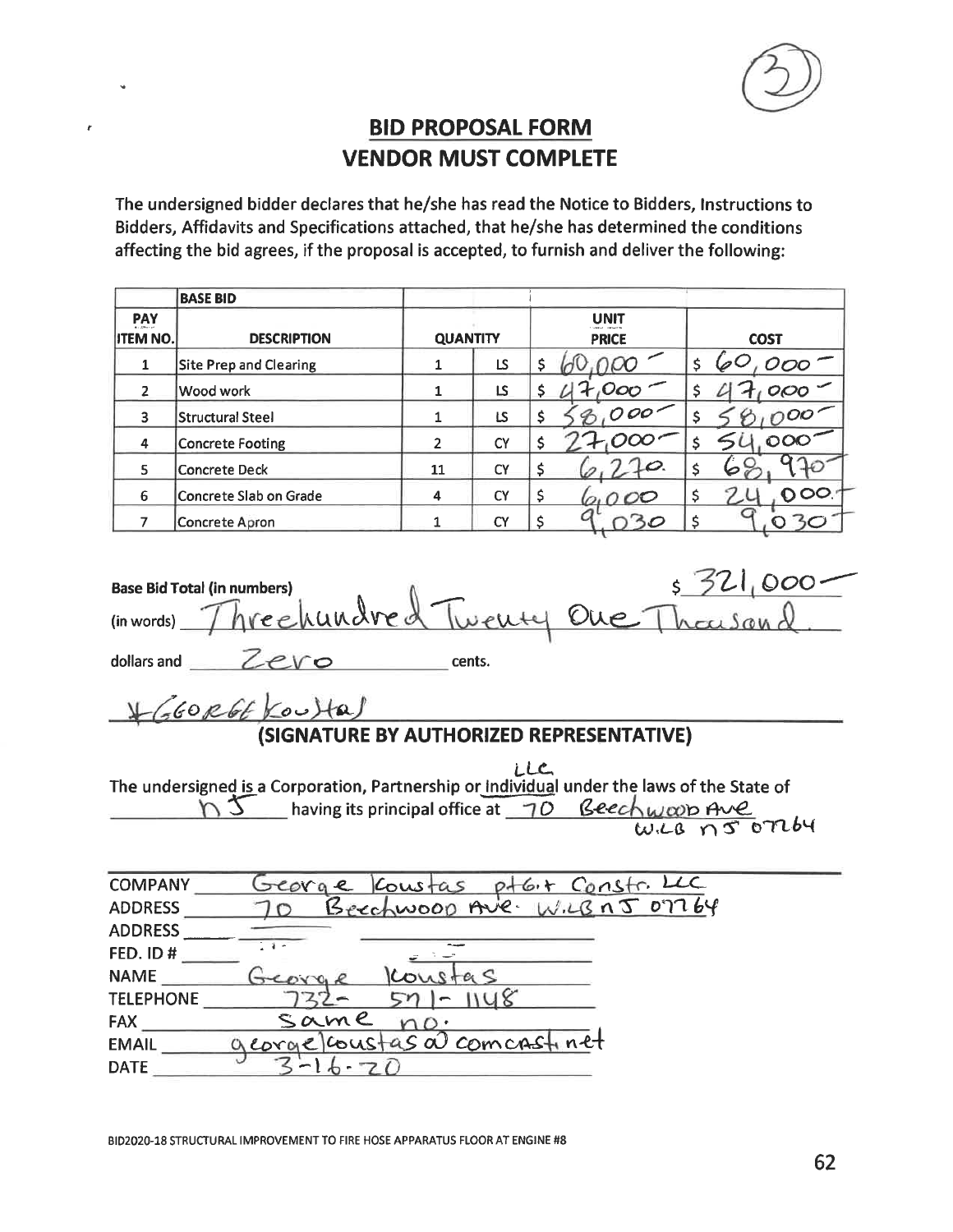

# **BID PROPOSAL FORM VENDOR MUST COMPLETE**

The undersigned bidder declares that he/she has read the Notice to Bidders, Instructions to Bidders, Affidavits and Specifications attached, that he/she has determined the conditions affecting the bid agrees, if the proposal is accepted, to furnish and deliver the following:

|                        | <b>BASE BID</b>               |                 |           |   |                             |                |
|------------------------|-------------------------------|-----------------|-----------|---|-----------------------------|----------------|
| PAY<br><b>ITEM NO.</b> | <b>DESCRIPTION</b>            | <b>QUANTITY</b> |           |   | <b>UNIT</b><br><b>PRICE</b> | <b>COST</b>    |
|                        | <b>Site Prep and Clearing</b> | 1               | LS        |   |                             | $000 -$        |
| 2                      | Wood work                     | 1               | LS.       |   | Ooo '                       | $000 -$        |
| 3                      | Structural Steel              | 1               | LS        |   | 000                         |                |
| 4                      | Concrete Footing              | $\overline{2}$  | CY        |   |                             | $\mathbf{OOC}$ |
| 5                      | Concrete Deck                 | 11              | CY        |   | $\downarrow \varphi$        | V              |
| 6                      | Concrete Slab on Grade        | 4               | <b>CY</b> | Ş | 000                         | 000            |
|                        | <b>Concrete Apron</b>         |                 | <b>CY</b> |   |                             |                |

| <b>Base Bid Total (in numbers)</b>                                                                                                                                                                                                                                                 |
|------------------------------------------------------------------------------------------------------------------------------------------------------------------------------------------------------------------------------------------------------------------------------------|
| (in words) Threehundred Twenty One Thousand                                                                                                                                                                                                                                        |
| dollars and $Zevo$<br>cents.                                                                                                                                                                                                                                                       |
| $+(660R66)$ coultal                                                                                                                                                                                                                                                                |
| (SIGNATURE BY AUTHORIZED REPRESENTATIVE)                                                                                                                                                                                                                                           |
| The undersigned is a Corporation, Partnership or individual under the laws of the State of<br>$\bigcup_{\omega,\text{CB}} \bigcup_{\text{C}} \bigcup_{\omega,\text{CB}}$ having its principal office at $\bigcup_{\omega,\text{CB}} \bigcup_{\omega,\text{CB}} \bigcap_{\text{C}}$ |

| <b>COMPANY</b>   | ptG+ Constr. LLC<br>Loustas<br>e. |
|------------------|-----------------------------------|
| <b>ADDRESS</b>   | Beechwoop Ave. W.C.B n J 07764    |
| <b>ADDRESS</b>   |                                   |
| FED. ID#         | $-1$                              |
| <b>NAME</b>      | <b>COV</b>                        |
| <b>TELEPHONE</b> |                                   |
| <b>FAX</b>       | same                              |
| <b>EMAIL</b>     | georgelcoustas a comcast net      |
| <b>DATE</b>      |                                   |